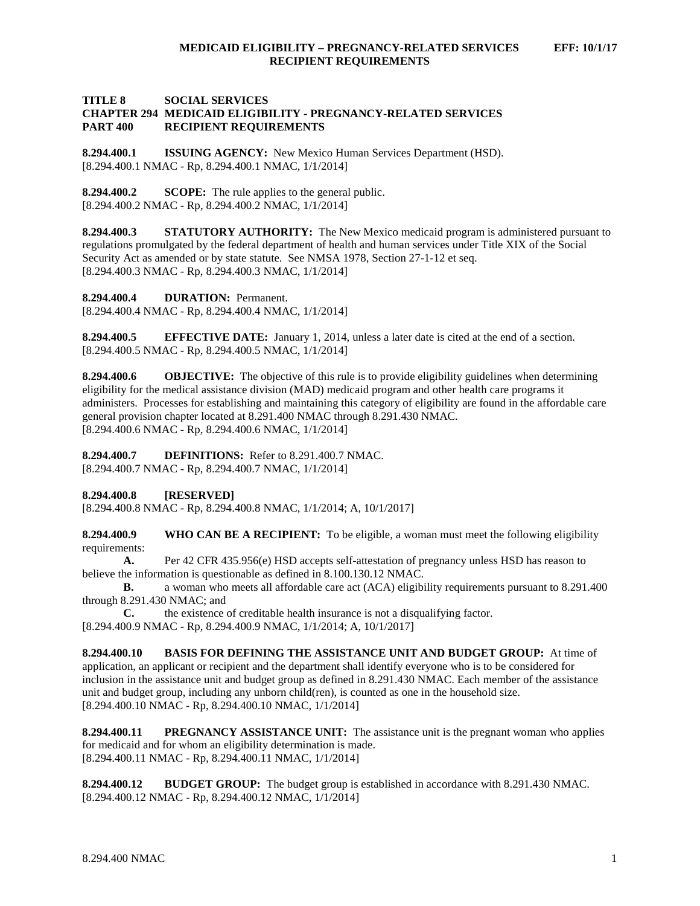## **TITLE 8 SOCIAL SERVICES CHAPTER 294 MEDICAID ELIGIBILITY - PREGNANCY-RELATED SERVICES PART 400 RECIPIENT REQUIREMENTS**

**8.294.400.1 ISSUING AGENCY:** New Mexico Human Services Department (HSD). [8.294.400.1 NMAC - Rp, 8.294.400.1 NMAC, 1/1/2014]

**8.294.400.2 SCOPE:** The rule applies to the general public. [8.294.400.2 NMAC - Rp, 8.294.400.2 NMAC, 1/1/2014]

**8.294.400.3 STATUTORY AUTHORITY:** The New Mexico medicaid program is administered pursuant to regulations promulgated by the federal department of health and human services under Title XIX of the Social Security Act as amended or by state statute. See NMSA 1978, Section 27-1-12 et seq. [8.294.400.3 NMAC - Rp, 8.294.400.3 NMAC, 1/1/2014]

**8.294.400.4 DURATION:** Permanent.

[8.294.400.4 NMAC - Rp, 8.294.400.4 NMAC, 1/1/2014]

**8.294.400.5 EFFECTIVE DATE:** January 1, 2014, unless a later date is cited at the end of a section. [8.294.400.5 NMAC - Rp, 8.294.400.5 NMAC, 1/1/2014]

**8.294.400.6 OBJECTIVE:** The objective of this rule is to provide eligibility guidelines when determining eligibility for the medical assistance division (MAD) medicaid program and other health care programs it administers. Processes for establishing and maintaining this category of eligibility are found in the affordable care general provision chapter located at 8.291.400 NMAC through 8.291.430 NMAC. [8.294.400.6 NMAC - Rp, 8.294.400.6 NMAC, 1/1/2014]

**8.294.400.7 DEFINITIONS:** Refer to 8.291.400.7 NMAC. [8.294.400.7 NMAC - Rp, 8.294.400.7 NMAC, 1/1/2014]

**8.294.400.8 [RESERVED]**

[8.294.400.8 NMAC - Rp, 8.294.400.8 NMAC, 1/1/2014; A, 10/1/2017]

**8.294.400.9 WHO CAN BE A RECIPIENT:** To be eligible, a woman must meet the following eligibility requirements:

**A.** Per 42 CFR 435.956(e) HSD accepts self-attestation of pregnancy unless HSD has reason to believe the information is questionable as defined in 8.100.130.12 NMAC.

**B.** a woman who meets all affordable care act (ACA) eligibility requirements pursuant to 8.291.400 through 8.291.430 NMAC; and

**C.** the existence of creditable health insurance is not a disqualifying factor. [8.294.400.9 NMAC - Rp, 8.294.400.9 NMAC, 1/1/2014; A, 10/1/2017]

**8.294.400.10 BASIS FOR DEFINING THE ASSISTANCE UNIT AND BUDGET GROUP:** At time of application, an applicant or recipient and the department shall identify everyone who is to be considered for inclusion in the assistance unit and budget group as defined in 8.291.430 NMAC. Each member of the assistance unit and budget group, including any unborn child(ren), is counted as one in the household size. [8.294.400.10 NMAC - Rp, 8.294.400.10 NMAC, 1/1/2014]

**8.294.400.11 PREGNANCY ASSISTANCE UNIT:** The assistance unit is the pregnant woman who applies for medicaid and for whom an eligibility determination is made. [8.294.400.11 NMAC - Rp, 8.294.400.11 NMAC, 1/1/2014]

**8.294.400.12 BUDGET GROUP:** The budget group is established in accordance with 8.291.430 NMAC. [8.294.400.12 NMAC - Rp, 8.294.400.12 NMAC, 1/1/2014]